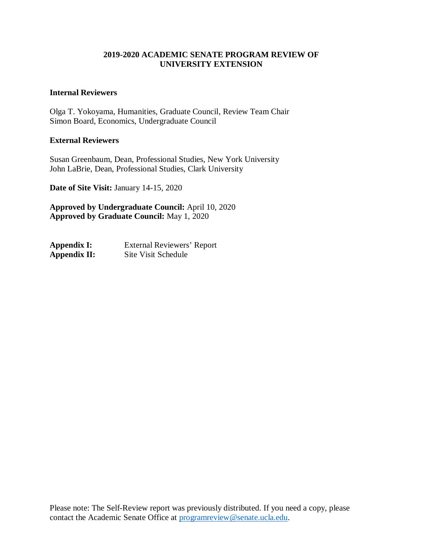#### **2019-2020 ACADEMIC SENATE PROGRAM REVIEW OF UNIVERSITY EXTENSION**

#### **Internal Reviewers**

Olga T. Yokoyama, Humanities, Graduate Council, Review Team Chair Simon Board, Economics, Undergraduate Council

#### **External Reviewers**

Susan Greenbaum, Dean, Professional Studies, New York University John LaBrie, Dean, Professional Studies, Clark University

**Date of Site Visit:** January 14-15, 2020

**Approved by Undergraduate Council:** April 10, 2020 **Approved by Graduate Council:** May 1, 2020

| Appendix I:  | External Reviewers' Report |
|--------------|----------------------------|
| Appendix II: | Site Visit Schedule        |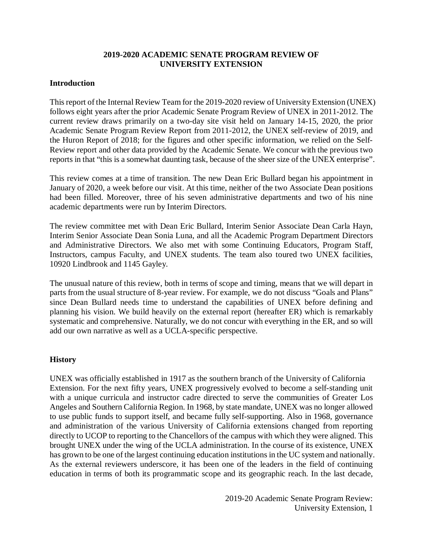#### **2019-2020 ACADEMIC SENATE PROGRAM REVIEW OF UNIVERSITY EXTENSION**

#### **Introduction**

This report of the Internal Review Team for the 2019-2020 review of University Extension (UNEX) follows eight years after the prior Academic Senate Program Review of UNEX in 2011-2012. The current review draws primarily on a two-day site visit held on January 14-15, 2020, the prior Academic Senate Program Review Report from 2011-2012, the UNEX self-review of 2019, and the Huron Report of 2018; for the figures and other specific information, we relied on the Self-Review report and other data provided by the Academic Senate. We concur with the previous two reports in that "this is a somewhat daunting task, because of the sheer size of the UNEX enterprise".

This review comes at a time of transition. The new Dean Eric Bullard began his appointment in January of 2020, a week before our visit. At this time, neither of the two Associate Dean positions had been filled. Moreover, three of his seven administrative departments and two of his nine academic departments were run by Interim Directors.

The review committee met with Dean Eric Bullard, Interim Senior Associate Dean Carla Hayn, Interim Senior Associate Dean Sonia Luna, and all the Academic Program Department Directors and Administrative Directors. We also met with some Continuing Educators, Program Staff, Instructors, campus Faculty, and UNEX students. The team also toured two UNEX facilities, 10920 Lindbrook and 1145 Gayley.

The unusual nature of this review, both in terms of scope and timing, means that we will depart in parts from the usual structure of 8-year review. For example, we do not discuss "Goals and Plans" since Dean Bullard needs time to understand the capabilities of UNEX before defining and planning his vision. We build heavily on the external report (hereafter ER) which is remarkably systematic and comprehensive. Naturally, we do not concur with everything in the ER, and so will add our own narrative as well as a UCLA-specific perspective.

#### **History**

UNEX was officially established in 1917 as the southern branch of the University of California Extension. For the next fifty years, UNEX progressively evolved to become a self-standing unit with a unique curricula and instructor cadre directed to serve the communities of Greater Los Angeles and Southern California Region. In 1968, by state mandate, UNEX was no longer allowed to use public funds to support itself, and became fully self-supporting. Also in 1968, governance and administration of the various University of California extensions changed from reporting directly to UCOP to reporting to the Chancellors of the campus with which they were aligned. This brought UNEX under the wing of the UCLA administration. In the course of its existence, UNEX has grown to be one of the largest continuing education institutions in the UC system and nationally. As the external reviewers underscore, it has been one of the leaders in the field of continuing education in terms of both its programmatic scope and its geographic reach. In the last decade,

> 2019-20 Academic Senate Program Review: University Extension, 1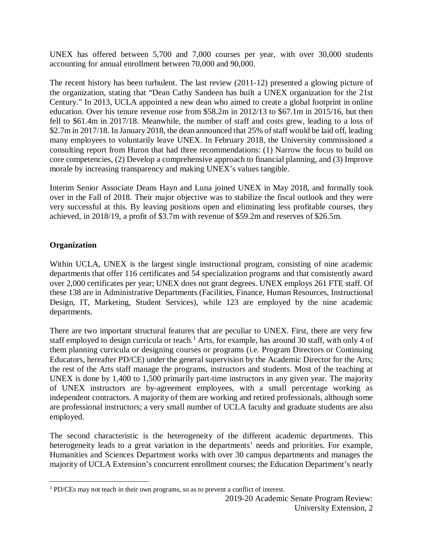UNEX has offered between 5,700 and 7,000 courses per year, with over 30,000 students accounting for annual enrollment between 70,000 and 90,000.

The recent history has been turbulent. The last review (2011-12) presented a glowing picture of the organization, stating that "Dean Cathy Sandeen has built a UNEX organization for the 21st Century." In 2013, UCLA appointed a new dean who aimed to create a global footprint in online education. Over his tenure revenue rose from \$58.2m in 2012/13 to \$67.1m in 2015/16, but then fell to \$61.4m in 2017/18. Meanwhile, the number of staff and costs grew, leading to a loss of \$2.7m in 2017/18. In January 2018, the dean announced that 25% of staff would be laid off, leading many employees to voluntarily leave UNEX. In February 2018, the University commissioned a consulting report from Huron that had three recommendations: (1) Narrow the focus to build on core competencies, (2) Develop a comprehensive approach to financial planning, and (3) Improve morale by increasing transparency and making UNEX's values tangible.

Interim Senior Associate Deans Hayn and Luna joined UNEX in May 2018, and formally took over in the Fall of 2018. Their major objective was to stabilize the fiscal outlook and they were very successful at this. By leaving positions open and eliminating less profitable courses, they achieved, in 2018/19, a profit of \$3.7m with revenue of \$59.2m and reserves of \$26.5m.

## **Organization**

Within UCLA, UNEX is the largest single instructional program, consisting of nine academic departments that offer 116 certificates and 54 specialization programs and that consistently award over 2,000 certificates per year; UNEX does not grant degrees. UNEX employs 261 FTE staff. Of these 138 are in Administrative Departments (Facilities, Finance, Human Resources, Instructional Design, IT, Marketing, Student Services), while 123 are employed by the nine academic departments.

There are two important structural features that are peculiar to UNEX. First, there are very few staff employed to design curricula or teach. [1](#page-2-0) Arts, for example, has around 30 staff, with only 4 of them planning curricula or designing courses or programs (i.e. Program Directors or Continuing Educators, hereafter PD/CE) under the general supervision by the Academic Director for the Arts; the rest of the Arts staff manage the programs, instructors and students. Most of the teaching at UNEX is done by 1,400 to 1,500 primarily part-time instructors in any given year. The majority of UNEX instructors are by-agreement employees, with a small percentage working as independent contractors. A majority of them are working and retired professionals, although some are professional instructors; a very small number of UCLA faculty and graduate students are also employed.

The second characteristic is the heterogeneity of the different academic departments. This heterogeneity leads to a great variation in the departments' needs and priorities. For example, Humanities and Sciences Department works with over 30 campus departments and manages the majority of UCLA Extension's concurrent enrollment courses; the Education Department's nearly

<span id="page-2-0"></span> <sup>1</sup> PD/CEs may not teach in their own programs, so as to prevent a conflict of interest.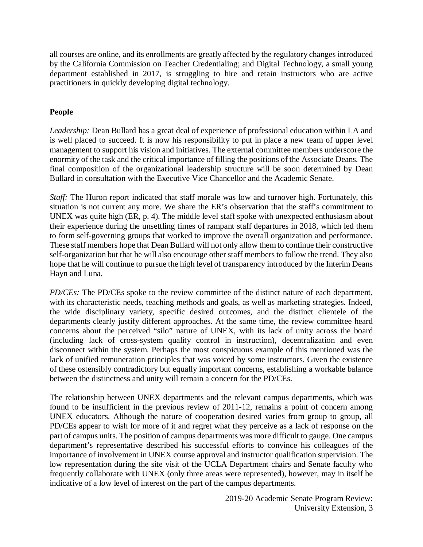all courses are online, and its enrollments are greatly affected by the regulatory changes introduced by the California Commission on Teacher Credentialing; and Digital Technology, a small young department established in 2017, is struggling to hire and retain instructors who are active practitioners in quickly developing digital technology.

# **People**

*Leadership:* Dean Bullard has a great deal of experience of professional education within LA and is well placed to succeed. It is now his responsibility to put in place a new team of upper level management to support his vision and initiatives. The external committee members underscore the enormity of the task and the critical importance of filling the positions of the Associate Deans. The final composition of the organizational leadership structure will be soon determined by Dean Bullard in consultation with the Executive Vice Chancellor and the Academic Senate.

*Staff:* The Huron report indicated that staff morale was low and turnover high. Fortunately, this situation is not current any more. We share the ER's observation that the staff's commitment to UNEX was quite high (ER, p. 4). The middle level staff spoke with unexpected enthusiasm about their experience during the unsettling times of rampant staff departures in 2018, which led them to form self-governing groups that worked to improve the overall organization and performance. These staff members hope that Dean Bullard will not only allow them to continue their constructive self-organization but that he will also encourage other staff members to follow the trend. They also hope that he will continue to pursue the high level of transparency introduced by the Interim Deans Hayn and Luna.

*PD/CEs:* The PD/CEs spoke to the review committee of the distinct nature of each department, with its characteristic needs, teaching methods and goals, as well as marketing strategies. Indeed, the wide disciplinary variety, specific desired outcomes, and the distinct clientele of the departments clearly justify different approaches. At the same time, the review committee heard concerns about the perceived "silo" nature of UNEX, with its lack of unity across the board (including lack of cross-system quality control in instruction), decentralization and even disconnect within the system. Perhaps the most conspicuous example of this mentioned was the lack of unified remuneration principles that was voiced by some instructors. Given the existence of these ostensibly contradictory but equally important concerns, establishing a workable balance between the distinctness and unity will remain a concern for the PD/CEs.

The relationship between UNEX departments and the relevant campus departments, which was found to be insufficient in the previous review of 2011-12, remains a point of concern among UNEX educators. Although the nature of cooperation desired varies from group to group, all PD/CEs appear to wish for more of it and regret what they perceive as a lack of response on the part of campus units. The position of campus departments was more difficult to gauge. One campus department's representative described his successful efforts to convince his colleagues of the importance of involvement in UNEX course approval and instructor qualification supervision. The low representation during the site visit of the UCLA Department chairs and Senate faculty who frequently collaborate with UNEX (only three areas were represented), however, may in itself be indicative of a low level of interest on the part of the campus departments.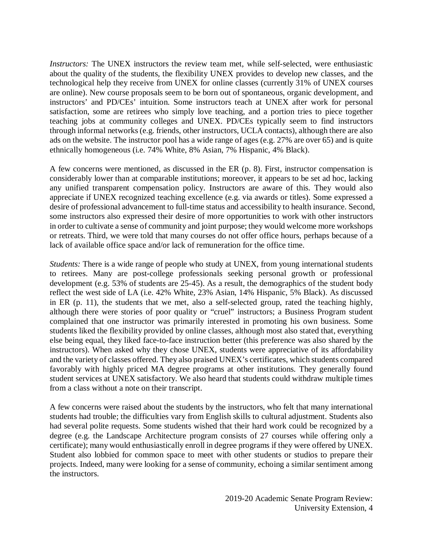*Instructors:* The UNEX instructors the review team met, while self-selected, were enthusiastic about the quality of the students, the flexibility UNEX provides to develop new classes, and the technological help they receive from UNEX for online classes (currently 31% of UNEX courses are online). New course proposals seem to be born out of spontaneous, organic development, and instructors' and PD/CEs' intuition. Some instructors teach at UNEX after work for personal satisfaction, some are retirees who simply love teaching, and a portion tries to piece together teaching jobs at community colleges and UNEX. PD/CEs typically seem to find instructors through informal networks (e.g. friends, other instructors, UCLA contacts), although there are also ads on the website. The instructor pool has a wide range of ages (e.g. 27% are over 65) and is quite ethnically homogeneous (i.e. 74% White, 8% Asian, 7% Hispanic, 4% Black).

A few concerns were mentioned, as discussed in the ER (p. 8). First, instructor compensation is considerably lower than at comparable institutions; moreover, it appears to be set ad hoc, lacking any unified transparent compensation policy. Instructors are aware of this. They would also appreciate if UNEX recognized teaching excellence (e.g. via awards or titles). Some expressed a desire of professional advancement to full-time status and accessibility to health insurance. Second, some instructors also expressed their desire of more opportunities to work with other instructors in order to cultivate a sense of community and joint purpose; they would welcome more workshops or retreats. Third, we were told that many courses do not offer office hours, perhaps because of a lack of available office space and/or lack of remuneration for the office time.

*Students:* There is a wide range of people who study at UNEX, from young international students to retirees. Many are post-college professionals seeking personal growth or professional development (e.g. 53% of students are 25-45). As a result, the demographics of the student body reflect the west side of LA (i.e. 42% White, 23% Asian, 14% Hispanic, 5% Black). As discussed in ER (p. 11), the students that we met, also a self-selected group, rated the teaching highly, although there were stories of poor quality or "cruel" instructors; a Business Program student complained that one instructor was primarily interested in promoting his own business. Some students liked the flexibility provided by online classes, although most also stated that, everything else being equal, they liked face-to-face instruction better (this preference was also shared by the instructors). When asked why they chose UNEX, students were appreciative of its affordability and the variety of classes offered. They also praised UNEX's certificates, which students compared favorably with highly priced MA degree programs at other institutions. They generally found student services at UNEX satisfactory. We also heard that students could withdraw multiple times from a class without a note on their transcript.

A few concerns were raised about the students by the instructors, who felt that many international students had trouble; the difficulties vary from English skills to cultural adjustment. Students also had several polite requests. Some students wished that their hard work could be recognized by a degree (e.g. the Landscape Architecture program consists of 27 courses while offering only a certificate); many would enthusiastically enroll in degree programs if they were offered by UNEX. Student also lobbied for common space to meet with other students or studios to prepare their projects. Indeed, many were looking for a sense of community, echoing a similar sentiment among the instructors.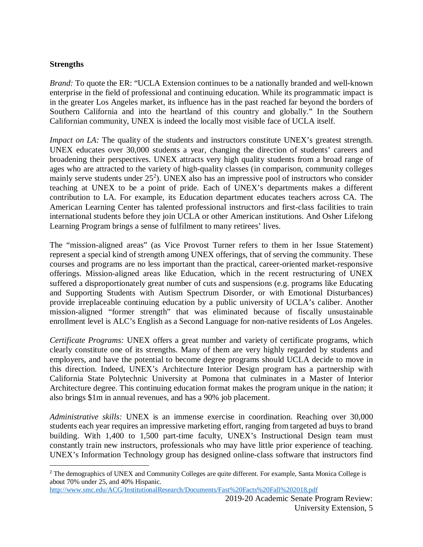## **Strengths**

*Brand:* To quote the ER: "UCLA Extension continues to be a nationally branded and well-known enterprise in the field of professional and continuing education. While its programmatic impact is in the greater Los Angeles market, its influence has in the past reached far beyond the borders of Southern California and into the heartland of this country and globally." In the Southern Californian community, UNEX is indeed the locally most visible face of UCLA itself.

*Impact on LA:* The quality of the students and instructors constitute UNEX's greatest strength. UNEX educates over 30,000 students a year, changing the direction of students' careers and broadening their perspectives. UNEX attracts very high quality students from a broad range of ages who are attracted to the variety of high-quality classes (in comparison, community colleges mainly serve students under  $25<sup>2</sup>$  $25<sup>2</sup>$ ). UNEX also has an impressive pool of instructors who consider teaching at UNEX to be a point of pride. Each of UNEX's departments makes a different contribution to LA. For example, its Education department educates teachers across CA. The American Learning Center has talented professional instructors and first-class facilities to train international students before they join UCLA or other American institutions. And Osher Lifelong Learning Program brings a sense of fulfilment to many retirees' lives.

The "mission-aligned areas" (as Vice Provost Turner refers to them in her Issue Statement) represent a special kind of strength among UNEX offerings, that of serving the community. These courses and programs are no less important than the practical, career-oriented market-responsive offerings. Mission-aligned areas like Education, which in the recent restructuring of UNEX suffered a disproportionately great number of cuts and suspensions (e.g. programs like Educating and Supporting Students with Autism Spectrum Disorder, or with Emotional Disturbances) provide irreplaceable continuing education by a public university of UCLA's caliber. Another mission-aligned "former strength" that was eliminated because of fiscally unsustainable enrollment level is ALC's English as a Second Language for non-native residents of Los Angeles.

*Certificate Programs:* UNEX offers a great number and variety of certificate programs, which clearly constitute one of its strengths. Many of them are very highly regarded by students and employers, and have the potential to become degree programs should UCLA decide to move in this direction. Indeed, UNEX's Architecture Interior Design program has a partnership with California State Polytechnic University at Pomona that culminates in a Master of Interior Architecture degree. This continuing education format makes the program unique in the nation; it also brings \$1m in annual revenues, and has a 90% job placement.

*Administrative skills:* UNEX is an immense exercise in coordination. Reaching over 30,000 students each year requires an impressive marketing effort, ranging from targeted ad buys to brand building. With 1,400 to 1,500 part-time faculty, UNEX's Instructional Design team must constantly train new instructors, professionals who may have little prior experience of teaching. UNEX's Information Technology group has designed online-class software that instructors find

<span id="page-5-0"></span><sup>&</sup>lt;sup>2</sup> The demographics of UNEX and Community Colleges are quite different. For example, Santa Monica College is about 70% under 25, and 40% Hispanic.

<http://www.smc.edu/ACG/InstitutionalResearch/Documents/Fast%20Facts%20Fall%202018.pdf>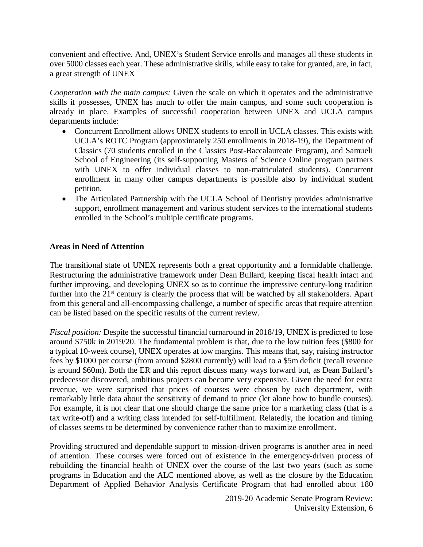convenient and effective. And, UNEX's Student Service enrolls and manages all these students in over 5000 classes each year. These administrative skills, while easy to take for granted, are, in fact, a great strength of UNEX

*Cooperation with the main campus:* Given the scale on which it operates and the administrative skills it possesses, UNEX has much to offer the main campus, and some such cooperation is already in place. Examples of successful cooperation between UNEX and UCLA campus departments include:

- Concurrent Enrollment allows UNEX students to enroll in UCLA classes. This exists with UCLA's ROTC Program (approximately 250 enrollments in 2018-19), the Department of Classics (70 students enrolled in the Classics Post-Baccalaureate Program), and Samueli School of Engineering (its self-supporting Masters of Science Online program partners with UNEX to offer individual classes to non-matriculated students). Concurrent enrollment in many other campus departments is possible also by individual student petition.
- The Articulated Partnership with the UCLA School of Dentistry provides administrative support, enrollment management and various student services to the international students enrolled in the School's multiple certificate programs.

## **Areas in Need of Attention**

The transitional state of UNEX represents both a great opportunity and a formidable challenge. Restructuring the administrative framework under Dean Bullard, keeping fiscal health intact and further improving, and developing UNEX so as to continue the impressive century-long tradition further into the  $21<sup>st</sup>$  century is clearly the process that will be watched by all stakeholders. Apart from this general and all-encompassing challenge, a number of specific areas that require attention can be listed based on the specific results of the current review.

*Fiscal position:* Despite the successful financial turnaround in 2018/19, UNEX is predicted to lose around \$750k in 2019/20. The fundamental problem is that, due to the low tuition fees (\$800 for a typical 10-week course), UNEX operates at low margins. This means that, say, raising instructor fees by \$1000 per course (from around \$2800 currently) will lead to a \$5m deficit (recall revenue is around \$60m). Both the ER and this report discuss many ways forward but, as Dean Bullard's predecessor discovered, ambitious projects can become very expensive. Given the need for extra revenue, we were surprised that prices of courses were chosen by each department, with remarkably little data about the sensitivity of demand to price (let alone how to bundle courses). For example, it is not clear that one should charge the same price for a marketing class (that is a tax write-off) and a writing class intended for self-fulfillment. Relatedly, the location and timing of classes seems to be determined by convenience rather than to maximize enrollment.

Providing structured and dependable support to mission-driven programs is another area in need of attention. These courses were forced out of existence in the emergency-driven process of rebuilding the financial health of UNEX over the course of the last two years (such as some programs in Education and the ALC mentioned above, as well as the closure by the Education Department of Applied Behavior Analysis Certificate Program that had enrolled about 180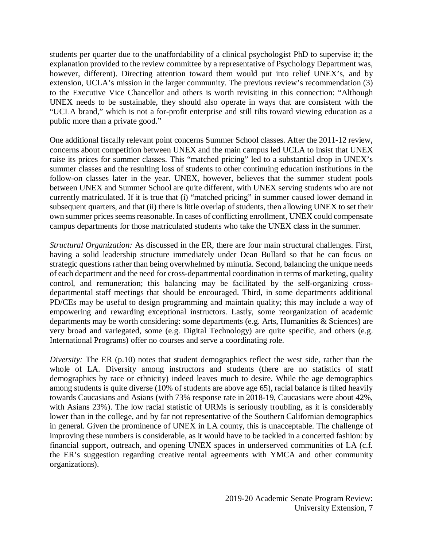students per quarter due to the unaffordability of a clinical psychologist PhD to supervise it; the explanation provided to the review committee by a representative of Psychology Department was, however, different). Directing attention toward them would put into relief UNEX's, and by extension, UCLA's mission in the larger community. The previous review's recommendation (3) to the Executive Vice Chancellor and others is worth revisiting in this connection: "Although UNEX needs to be sustainable, they should also operate in ways that are consistent with the "UCLA brand," which is not a for-profit enterprise and still tilts toward viewing education as a public more than a private good."

One additional fiscally relevant point concerns Summer School classes. After the 2011-12 review, concerns about competition between UNEX and the main campus led UCLA to insist that UNEX raise its prices for summer classes. This "matched pricing" led to a substantial drop in UNEX's summer classes and the resulting loss of students to other continuing education institutions in the follow-on classes later in the year. UNEX, however, believes that the summer student pools between UNEX and Summer School are quite different, with UNEX serving students who are not currently matriculated. If it is true that (i) "matched pricing" in summer caused lower demand in subsequent quarters, and that (ii) there is little overlap of students, then allowing UNEX to set their own summer prices seems reasonable. In cases of conflicting enrollment, UNEX could compensate campus departments for those matriculated students who take the UNEX class in the summer.

*Structural Organization:* As discussed in the ER, there are four main structural challenges. First, having a solid leadership structure immediately under Dean Bullard so that he can focus on strategic questions rather than being overwhelmed by minutia. Second, balancing the unique needs of each department and the need for cross-departmental coordination in terms of marketing, quality control, and remuneration; this balancing may be facilitated by the self-organizing crossdepartmental staff meetings that should be encouraged. Third, in some departments additional PD/CEs may be useful to design programming and maintain quality; this may include a way of empowering and rewarding exceptional instructors. Lastly, some reorganization of academic departments may be worth considering: some departments (e.g. Arts, Humanities & Sciences) are very broad and variegated, some (e.g. Digital Technology) are quite specific, and others (e.g. International Programs) offer no courses and serve a coordinating role.

*Diversity:* The ER (p.10) notes that student demographics reflect the west side, rather than the whole of LA. Diversity among instructors and students (there are no statistics of staff demographics by race or ethnicity) indeed leaves much to desire. While the age demographics among students is quite diverse (10% of students are above age 65), racial balance is tilted heavily towards Caucasians and Asians (with 73% response rate in 2018-19, Caucasians were about 42%, with Asians 23%). The low racial statistic of URMs is seriously troubling, as it is considerably lower than in the college, and by far not representative of the Southern Californian demographics in general. Given the prominence of UNEX in LA county, this is unacceptable. The challenge of improving these numbers is considerable, as it would have to be tackled in a concerted fashion: by financial support, outreach, and opening UNEX spaces in underserved communities of LA (c.f. the ER's suggestion regarding creative rental agreements with YMCA and other community organizations).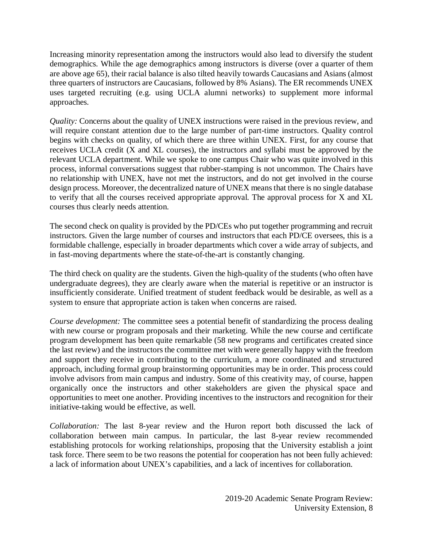Increasing minority representation among the instructors would also lead to diversify the student demographics. While the age demographics among instructors is diverse (over a quarter of them are above age 65), their racial balance is also tilted heavily towards Caucasians and Asians (almost three quarters of instructors are Caucasians, followed by 8% Asians). The ER recommends UNEX uses targeted recruiting (e.g. using UCLA alumni networks) to supplement more informal approaches.

*Quality:* Concerns about the quality of UNEX instructions were raised in the previous review, and will require constant attention due to the large number of part-time instructors. Quality control begins with checks on quality, of which there are three within UNEX. First, for any course that receives UCLA credit (X and XL courses), the instructors and syllabi must be approved by the relevant UCLA department. While we spoke to one campus Chair who was quite involved in this process, informal conversations suggest that rubber-stamping is not uncommon. The Chairs have no relationship with UNEX, have not met the instructors, and do not get involved in the course design process. Moreover, the decentralized nature of UNEX means that there is no single database to verify that all the courses received appropriate approval. The approval process for X and XL courses thus clearly needs attention.

The second check on quality is provided by the PD/CEs who put together programming and recruit instructors. Given the large number of courses and instructors that each PD/CE oversees, this is a formidable challenge, especially in broader departments which cover a wide array of subjects, and in fast-moving departments where the state-of-the-art is constantly changing.

The third check on quality are the students. Given the high-quality of the students (who often have undergraduate degrees), they are clearly aware when the material is repetitive or an instructor is insufficiently considerate. Unified treatment of student feedback would be desirable, as well as a system to ensure that appropriate action is taken when concerns are raised.

*Course development:* The committee sees a potential benefit of standardizing the process dealing with new course or program proposals and their marketing. While the new course and certificate program development has been quite remarkable (58 new programs and certificates created since the last review) and the instructors the committee met with were generally happy with the freedom and support they receive in contributing to the curriculum, a more coordinated and structured approach, including formal group brainstorming opportunities may be in order. This process could involve advisors from main campus and industry. Some of this creativity may, of course, happen organically once the instructors and other stakeholders are given the physical space and opportunities to meet one another. Providing incentives to the instructors and recognition for their initiative-taking would be effective, as well.

*Collaboration:* The last 8-year review and the Huron report both discussed the lack of collaboration between main campus. In particular, the last 8-year review recommended establishing protocols for working relationships, proposing that the University establish a joint task force. There seem to be two reasons the potential for cooperation has not been fully achieved: a lack of information about UNEX's capabilities, and a lack of incentives for collaboration.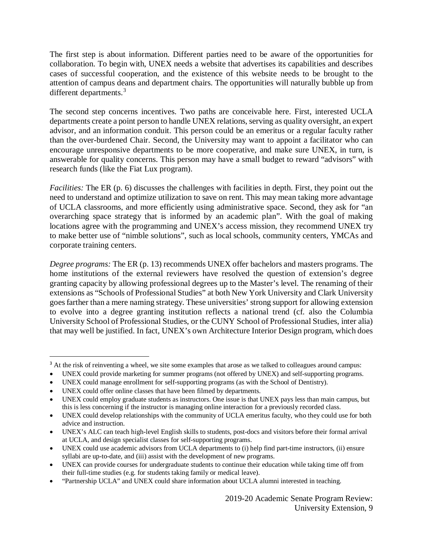The first step is about information. Different parties need to be aware of the opportunities for collaboration. To begin with, UNEX needs a website that advertises its capabilities and describes cases of successful cooperation, and the existence of this website needs to be brought to the attention of campus deans and department chairs. The opportunities will naturally bubble up from different departments.<sup>[3](#page-9-0)</sup>

The second step concerns incentives. Two paths are conceivable here. First, interested UCLA departments create a point person to handle UNEX relations, serving as quality oversight, an expert advisor, and an information conduit. This person could be an emeritus or a regular faculty rather than the over-burdened Chair. Second, the University may want to appoint a facilitator who can encourage unresponsive departments to be more cooperative, and make sure UNEX, in turn, is answerable for quality concerns. This person may have a small budget to reward "advisors" with research funds (like the Fiat Lux program).

*Facilities:* The ER (p. 6) discusses the challenges with facilities in depth. First, they point out the need to understand and optimize utilization to save on rent. This may mean taking more advantage of UCLA classrooms, and more efficiently using administrative space. Second, they ask for "an overarching space strategy that is informed by an academic plan". With the goal of making locations agree with the programming and UNEX's access mission, they recommend UNEX try to make better use of "nimble solutions", such as local schools, community centers, YMCAs and corporate training centers.

*Degree programs:* The ER (p. 13) recommends UNEX offer bachelors and masters programs. The home institutions of the external reviewers have resolved the question of extension's degree granting capacity by allowing professional degrees up to the Master's level. The renaming of their extensions as "Schools of Professional Studies" at both New York University and Clark University goes farther than a mere naming strategy. These universities' strong support for allowing extension to evolve into a degree granting institution reflects a national trend (cf. also the Columbia University School of Professional Studies, or the CUNY School of Professional Studies, inter alia) that may well be justified. In fact, UNEX's own Architecture Interior Design program, which does

<span id="page-9-0"></span><sup>&</sup>lt;sup>3</sup> At the risk of reinventing a wheel, we site some examples that arose as we talked to colleagues around campus:

<sup>•</sup> UNEX could provide marketing for summer programs (not offered by UNEX) and self-supporting programs.

<sup>•</sup> UNEX could manage enrollment for self-supporting programs (as with the School of Dentistry).

UNEX could offer online classes that have been filmed by departments.

UNEX could employ graduate students as instructors. One issue is that UNEX pays less than main campus, but this is less concerning if the instructor is managing online interaction for a previously recorded class.

UNEX could develop relationships with the community of UCLA emeritus faculty, who they could use for both advice and instruction.

<sup>•</sup> UNEX's ALC can teach high-level English skills to students, post-docs and visitors before their formal arrival at UCLA, and design specialist classes for self-supporting programs.

<sup>•</sup> UNEX could use academic advisors from UCLA departments to (i) help find part-time instructors, (ii) ensure syllabi are up-to-date, and (iii) assist with the development of new programs.

<sup>•</sup> UNEX can provide courses for undergraduate students to continue their education while taking time off from their full-time studies (e.g. for students taking family or medical leave).

<sup>•</sup> "Partnership UCLA" and UNEX could share information about UCLA alumni interested in teaching.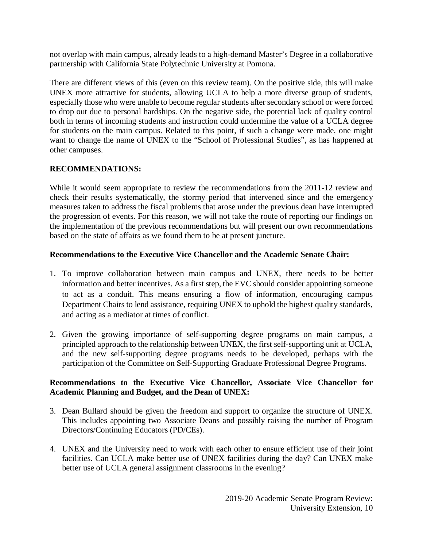not overlap with main campus, already leads to a high-demand Master's Degree in a collaborative partnership with California State Polytechnic University at Pomona.

There are different views of this (even on this review team). On the positive side, this will make UNEX more attractive for students, allowing UCLA to help a more diverse group of students, especially those who were unable to become regular students after secondary school or were forced to drop out due to personal hardships. On the negative side, the potential lack of quality control both in terms of incoming students and instruction could undermine the value of a UCLA degree for students on the main campus. Related to this point, if such a change were made, one might want to change the name of UNEX to the "School of Professional Studies", as has happened at other campuses.

# **RECOMMENDATIONS:**

While it would seem appropriate to review the recommendations from the 2011-12 review and check their results systematically, the stormy period that intervened since and the emergency measures taken to address the fiscal problems that arose under the previous dean have interrupted the progression of events. For this reason, we will not take the route of reporting our findings on the implementation of the previous recommendations but will present our own recommendations based on the state of affairs as we found them to be at present juncture.

# **Recommendations to the Executive Vice Chancellor and the Academic Senate Chair:**

- 1. To improve collaboration between main campus and UNEX, there needs to be better information and better incentives. As a first step, the EVC should consider appointing someone to act as a conduit. This means ensuring a flow of information, encouraging campus Department Chairs to lend assistance, requiring UNEX to uphold the highest quality standards, and acting as a mediator at times of conflict.
- 2. Given the growing importance of self-supporting degree programs on main campus, a principled approach to the relationship between UNEX, the first self-supporting unit at UCLA, and the new self-supporting degree programs needs to be developed, perhaps with the participation of the Committee on Self-Supporting Graduate Professional Degree Programs.

## **Recommendations to the Executive Vice Chancellor, Associate Vice Chancellor for Academic Planning and Budget, and the Dean of UNEX:**

- 3. Dean Bullard should be given the freedom and support to organize the structure of UNEX. This includes appointing two Associate Deans and possibly raising the number of Program Directors/Continuing Educators (PD/CEs).
- 4. UNEX and the University need to work with each other to ensure efficient use of their joint facilities. Can UCLA make better use of UNEX facilities during the day? Can UNEX make better use of UCLA general assignment classrooms in the evening?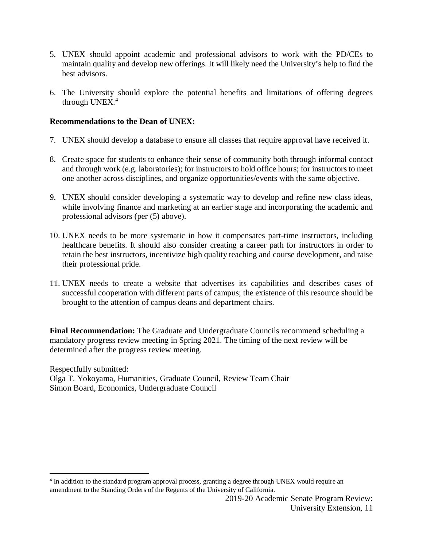- 5. UNEX should appoint academic and professional advisors to work with the PD/CEs to maintain quality and develop new offerings. It will likely need the University's help to find the best advisors.
- 6. The University should explore the potential benefits and limitations of offering degrees through UNEX. $4$

## **Recommendations to the Dean of UNEX:**

- 7. UNEX should develop a database to ensure all classes that require approval have received it.
- 8. Create space for students to enhance their sense of community both through informal contact and through work (e.g. laboratories); for instructors to hold office hours; for instructors to meet one another across disciplines, and organize opportunities/events with the same objective.
- 9. UNEX should consider developing a systematic way to develop and refine new class ideas, while involving finance and marketing at an earlier stage and incorporating the academic and professional advisors (per (5) above).
- 10. UNEX needs to be more systematic in how it compensates part-time instructors, including healthcare benefits. It should also consider creating a career path for instructors in order to retain the best instructors, incentivize high quality teaching and course development, and raise their professional pride.
- 11. UNEX needs to create a website that advertises its capabilities and describes cases of successful cooperation with different parts of campus; the existence of this resource should be brought to the attention of campus deans and department chairs.

**Final Recommendation:** The Graduate and Undergraduate Councils recommend scheduling a mandatory progress review meeting in Spring 2021. The timing of the next review will be determined after the progress review meeting.

Respectfully submitted: Olga T. Yokoyama, Humanities, Graduate Council, Review Team Chair Simon Board, Economics, Undergraduate Council

<span id="page-11-0"></span> <sup>4</sup> In addition to the standard program approval process, granting a degree through UNEX would require an amendment to the Standing Orders of the Regents of the University of California.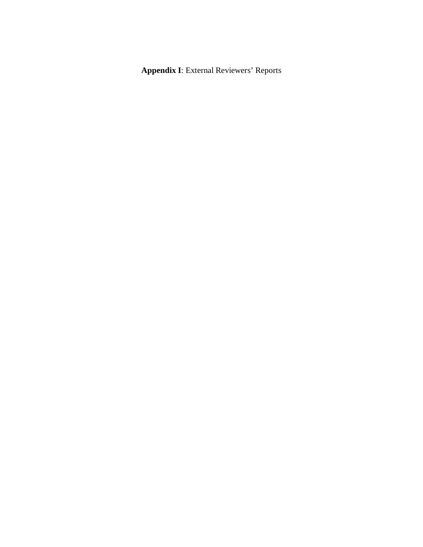**Appendix I**: External Reviewers' Reports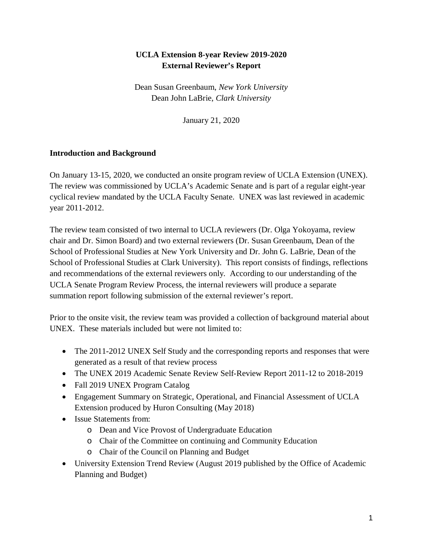# **UCLA Extension 8-year Review 2019-2020 External Reviewer's Report**

Dean Susan Greenbaum, *New York University* Dean John LaBrie, *Clark University*

January 21, 2020

## **Introduction and Background**

On January 13-15, 2020, we conducted an onsite program review of UCLA Extension (UNEX). The review was commissioned by UCLA's Academic Senate and is part of a regular eight-year cyclical review mandated by the UCLA Faculty Senate. UNEX was last reviewed in academic year 2011-2012.

The review team consisted of two internal to UCLA reviewers (Dr. Olga Yokoyama, review chair and Dr. Simon Board) and two external reviewers (Dr. Susan Greenbaum, Dean of the School of Professional Studies at New York University and Dr. John G. LaBrie, Dean of the School of Professional Studies at Clark University). This report consists of findings, reflections and recommendations of the external reviewers only. According to our understanding of the UCLA Senate Program Review Process, the internal reviewers will produce a separate summation report following submission of the external reviewer's report.

Prior to the onsite visit, the review team was provided a collection of background material about UNEX. These materials included but were not limited to:

- The 2011-2012 UNEX Self Study and the corresponding reports and responses that were generated as a result of that review process
- The UNEX 2019 Academic Senate Review Self-Review Report 2011-12 to 2018-2019
- Fall 2019 UNEX Program Catalog
- Engagement Summary on Strategic, Operational, and Financial Assessment of UCLA Extension produced by Huron Consulting (May 2018)
- Issue Statements from:
	- o Dean and Vice Provost of Undergraduate Education
	- o Chair of the Committee on continuing and Community Education
	- o Chair of the Council on Planning and Budget
- University Extension Trend Review (August 2019 published by the Office of Academic Planning and Budget)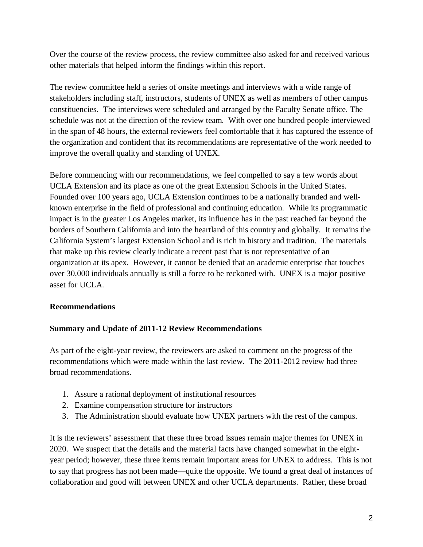Over the course of the review process, the review committee also asked for and received various other materials that helped inform the findings within this report.

The review committee held a series of onsite meetings and interviews with a wide range of stakeholders including staff, instructors, students of UNEX as well as members of other campus constituencies. The interviews were scheduled and arranged by the Faculty Senate office. The schedule was not at the direction of the review team. With over one hundred people interviewed in the span of 48 hours, the external reviewers feel comfortable that it has captured the essence of the organization and confident that its recommendations are representative of the work needed to improve the overall quality and standing of UNEX.

Before commencing with our recommendations, we feel compelled to say a few words about UCLA Extension and its place as one of the great Extension Schools in the United States. Founded over 100 years ago, UCLA Extension continues to be a nationally branded and wellknown enterprise in the field of professional and continuing education. While its programmatic impact is in the greater Los Angeles market, its influence has in the past reached far beyond the borders of Southern California and into the heartland of this country and globally. It remains the California System's largest Extension School and is rich in history and tradition. The materials that make up this review clearly indicate a recent past that is not representative of an organization at its apex. However, it cannot be denied that an academic enterprise that touches over 30,000 individuals annually is still a force to be reckoned with. UNEX is a major positive asset for UCLA.

# **Recommendations**

# **Summary and Update of 2011-12 Review Recommendations**

As part of the eight-year review, the reviewers are asked to comment on the progress of the recommendations which were made within the last review. The 2011-2012 review had three broad recommendations.

- 1. Assure a rational deployment of institutional resources
- 2. Examine compensation structure for instructors
- 3. The Administration should evaluate how UNEX partners with the rest of the campus.

It is the reviewers' assessment that these three broad issues remain major themes for UNEX in 2020. We suspect that the details and the material facts have changed somewhat in the eightyear period; however, these three items remain important areas for UNEX to address. This is not to say that progress has not been made—quite the opposite. We found a great deal of instances of collaboration and good will between UNEX and other UCLA departments. Rather, these broad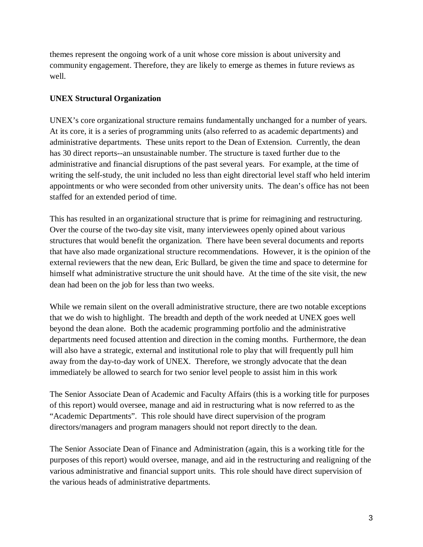themes represent the ongoing work of a unit whose core mission is about university and community engagement. Therefore, they are likely to emerge as themes in future reviews as well.

# **UNEX Structural Organization**

UNEX's core organizational structure remains fundamentally unchanged for a number of years. At its core, it is a series of programming units (also referred to as academic departments) and administrative departments. These units report to the Dean of Extension. Currently, the dean has 30 direct reports--an unsustainable number. The structure is taxed further due to the administrative and financial disruptions of the past several years. For example, at the time of writing the self-study, the unit included no less than eight directorial level staff who held interim appointments or who were seconded from other university units. The dean's office has not been staffed for an extended period of time.

This has resulted in an organizational structure that is prime for reimagining and restructuring. Over the course of the two-day site visit, many interviewees openly opined about various structures that would benefit the organization. There have been several documents and reports that have also made organizational structure recommendations. However, it is the opinion of the external reviewers that the new dean, Eric Bullard, be given the time and space to determine for himself what administrative structure the unit should have. At the time of the site visit, the new dean had been on the job for less than two weeks.

While we remain silent on the overall administrative structure, there are two notable exceptions that we do wish to highlight. The breadth and depth of the work needed at UNEX goes well beyond the dean alone. Both the academic programming portfolio and the administrative departments need focused attention and direction in the coming months. Furthermore, the dean will also have a strategic, external and institutional role to play that will frequently pull him away from the day-to-day work of UNEX. Therefore, we strongly advocate that the dean immediately be allowed to search for two senior level people to assist him in this work

The Senior Associate Dean of Academic and Faculty Affairs (this is a working title for purposes of this report) would oversee, manage and aid in restructuring what is now referred to as the "Academic Departments". This role should have direct supervision of the program directors/managers and program managers should not report directly to the dean.

The Senior Associate Dean of Finance and Administration (again, this is a working title for the purposes of this report) would oversee, manage, and aid in the restructuring and realigning of the various administrative and financial support units. This role should have direct supervision of the various heads of administrative departments.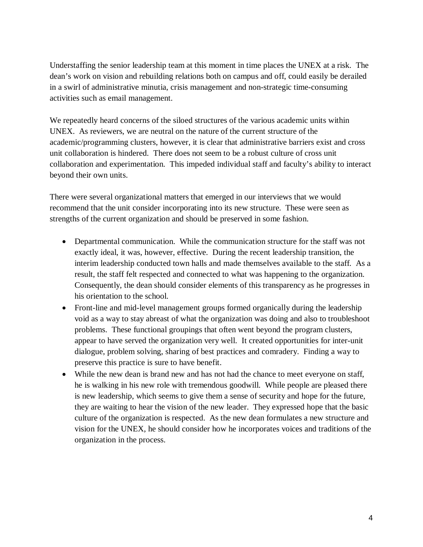Understaffing the senior leadership team at this moment in time places the UNEX at a risk. The dean's work on vision and rebuilding relations both on campus and off, could easily be derailed in a swirl of administrative minutia, crisis management and non-strategic time-consuming activities such as email management.

We repeatedly heard concerns of the siloed structures of the various academic units within UNEX. As reviewers, we are neutral on the nature of the current structure of the academic/programming clusters, however, it is clear that administrative barriers exist and cross unit collaboration is hindered. There does not seem to be a robust culture of cross unit collaboration and experimentation. This impeded individual staff and faculty's ability to interact beyond their own units.

There were several organizational matters that emerged in our interviews that we would recommend that the unit consider incorporating into its new structure. These were seen as strengths of the current organization and should be preserved in some fashion.

- Departmental communication. While the communication structure for the staff was not exactly ideal, it was, however, effective. During the recent leadership transition, the interim leadership conducted town halls and made themselves available to the staff. As a result, the staff felt respected and connected to what was happening to the organization. Consequently, the dean should consider elements of this transparency as he progresses in his orientation to the school.
- Front-line and mid-level management groups formed organically during the leadership void as a way to stay abreast of what the organization was doing and also to troubleshoot problems. These functional groupings that often went beyond the program clusters, appear to have served the organization very well. It created opportunities for inter-unit dialogue, problem solving, sharing of best practices and comradery. Finding a way to preserve this practice is sure to have benefit.
- While the new dean is brand new and has not had the chance to meet everyone on staff, he is walking in his new role with tremendous goodwill. While people are pleased there is new leadership, which seems to give them a sense of security and hope for the future, they are waiting to hear the vision of the new leader. They expressed hope that the basic culture of the organization is respected. As the new dean formulates a new structure and vision for the UNEX, he should consider how he incorporates voices and traditions of the organization in the process.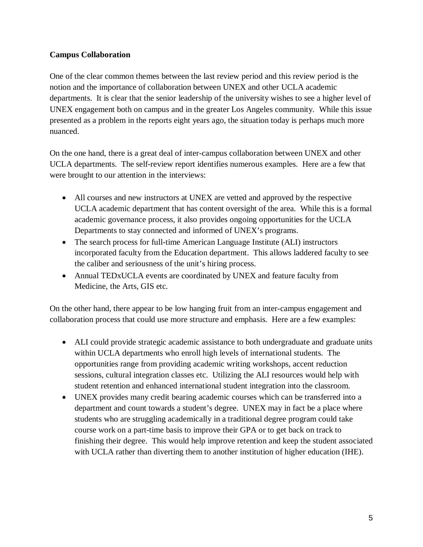# **Campus Collaboration**

One of the clear common themes between the last review period and this review period is the notion and the importance of collaboration between UNEX and other UCLA academic departments. It is clear that the senior leadership of the university wishes to see a higher level of UNEX engagement both on campus and in the greater Los Angeles community. While this issue presented as a problem in the reports eight years ago, the situation today is perhaps much more nuanced.

On the one hand, there is a great deal of inter-campus collaboration between UNEX and other UCLA departments. The self-review report identifies numerous examples. Here are a few that were brought to our attention in the interviews:

- All courses and new instructors at UNEX are vetted and approved by the respective UCLA academic department that has content oversight of the area. While this is a formal academic governance process, it also provides ongoing opportunities for the UCLA Departments to stay connected and informed of UNEX's programs.
- The search process for full-time American Language Institute (ALI) instructors incorporated faculty from the Education department. This allows laddered faculty to see the caliber and seriousness of the unit's hiring process.
- Annual TEDxUCLA events are coordinated by UNEX and feature faculty from Medicine, the Arts, GIS etc.

On the other hand, there appear to be low hanging fruit from an inter-campus engagement and collaboration process that could use more structure and emphasis. Here are a few examples:

- ALI could provide strategic academic assistance to both undergraduate and graduate units within UCLA departments who enroll high levels of international students. The opportunities range from providing academic writing workshops, accent reduction sessions, cultural integration classes etc. Utilizing the ALI resources would help with student retention and enhanced international student integration into the classroom.
- UNEX provides many credit bearing academic courses which can be transferred into a department and count towards a student's degree. UNEX may in fact be a place where students who are struggling academically in a traditional degree program could take course work on a part-time basis to improve their GPA or to get back on track to finishing their degree. This would help improve retention and keep the student associated with UCLA rather than diverting them to another institution of higher education (IHE).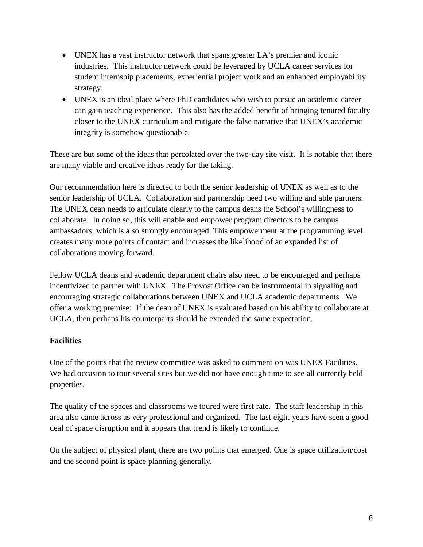- UNEX has a vast instructor network that spans greater LA's premier and iconic industries. This instructor network could be leveraged by UCLA career services for student internship placements, experiential project work and an enhanced employability strategy.
- UNEX is an ideal place where PhD candidates who wish to pursue an academic career can gain teaching experience. This also has the added benefit of bringing tenured faculty closer to the UNEX curriculum and mitigate the false narrative that UNEX's academic integrity is somehow questionable.

These are but some of the ideas that percolated over the two-day site visit. It is notable that there are many viable and creative ideas ready for the taking.

Our recommendation here is directed to both the senior leadership of UNEX as well as to the senior leadership of UCLA. Collaboration and partnership need two willing and able partners. The UNEX dean needs to articulate clearly to the campus deans the School's willingness to collaborate. In doing so, this will enable and empower program directors to be campus ambassadors, which is also strongly encouraged. This empowerment at the programming level creates many more points of contact and increases the likelihood of an expanded list of collaborations moving forward.

Fellow UCLA deans and academic department chairs also need to be encouraged and perhaps incentivized to partner with UNEX. The Provost Office can be instrumental in signaling and encouraging strategic collaborations between UNEX and UCLA academic departments. We offer a working premise: If the dean of UNEX is evaluated based on his ability to collaborate at UCLA, then perhaps his counterparts should be extended the same expectation.

# **Facilities**

One of the points that the review committee was asked to comment on was UNEX Facilities. We had occasion to tour several sites but we did not have enough time to see all currently held properties.

The quality of the spaces and classrooms we toured were first rate. The staff leadership in this area also came across as very professional and organized. The last eight years have seen a good deal of space disruption and it appears that trend is likely to continue.

On the subject of physical plant, there are two points that emerged. One is space utilization/cost and the second point is space planning generally.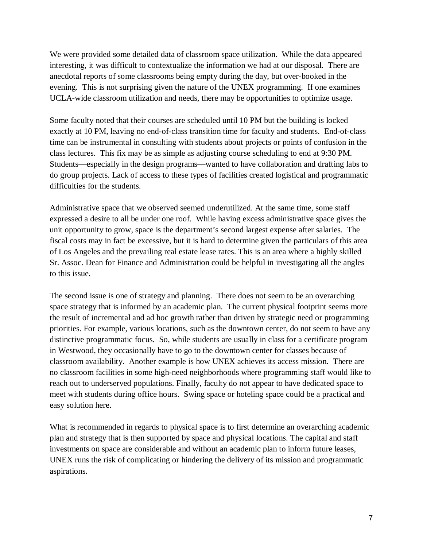We were provided some detailed data of classroom space utilization. While the data appeared interesting, it was difficult to contextualize the information we had at our disposal. There are anecdotal reports of some classrooms being empty during the day, but over-booked in the evening. This is not surprising given the nature of the UNEX programming. If one examines UCLA-wide classroom utilization and needs, there may be opportunities to optimize usage.

Some faculty noted that their courses are scheduled until 10 PM but the building is locked exactly at 10 PM, leaving no end-of-class transition time for faculty and students. End-of-class time can be instrumental in consulting with students about projects or points of confusion in the class lectures. This fix may be as simple as adjusting course scheduling to end at 9:30 PM. Students—especially in the design programs—wanted to have collaboration and drafting labs to do group projects. Lack of access to these types of facilities created logistical and programmatic difficulties for the students.

Administrative space that we observed seemed underutilized. At the same time, some staff expressed a desire to all be under one roof. While having excess administrative space gives the unit opportunity to grow, space is the department's second largest expense after salaries. The fiscal costs may in fact be excessive, but it is hard to determine given the particulars of this area of Los Angeles and the prevailing real estate lease rates. This is an area where a highly skilled Sr. Assoc. Dean for Finance and Administration could be helpful in investigating all the angles to this issue.

The second issue is one of strategy and planning. There does not seem to be an overarching space strategy that is informed by an academic plan. The current physical footprint seems more the result of incremental and ad hoc growth rather than driven by strategic need or programming priorities. For example, various locations, such as the downtown center, do not seem to have any distinctive programmatic focus. So, while students are usually in class for a certificate program in Westwood, they occasionally have to go to the downtown center for classes because of classroom availability. Another example is how UNEX achieves its access mission. There are no classroom facilities in some high-need neighborhoods where programming staff would like to reach out to underserved populations. Finally, faculty do not appear to have dedicated space to meet with students during office hours. Swing space or hoteling space could be a practical and easy solution here.

What is recommended in regards to physical space is to first determine an overarching academic plan and strategy that is then supported by space and physical locations. The capital and staff investments on space are considerable and without an academic plan to inform future leases, UNEX runs the risk of complicating or hindering the delivery of its mission and programmatic aspirations.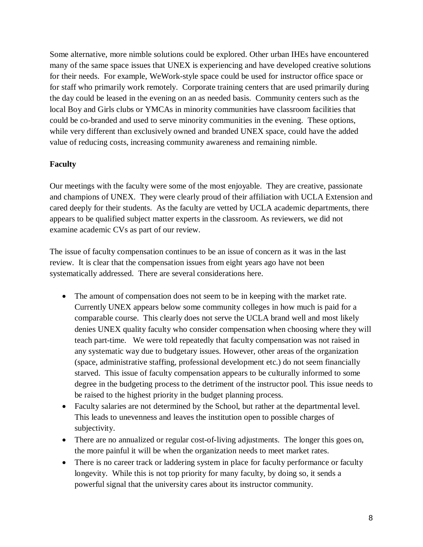Some alternative, more nimble solutions could be explored. Other urban IHEs have encountered many of the same space issues that UNEX is experiencing and have developed creative solutions for their needs. For example, WeWork-style space could be used for instructor office space or for staff who primarily work remotely. Corporate training centers that are used primarily during the day could be leased in the evening on an as needed basis. Community centers such as the local Boy and Girls clubs or YMCAs in minority communities have classroom facilities that could be co-branded and used to serve minority communities in the evening. These options, while very different than exclusively owned and branded UNEX space, could have the added value of reducing costs, increasing community awareness and remaining nimble.

## **Faculty**

Our meetings with the faculty were some of the most enjoyable. They are creative, passionate and champions of UNEX. They were clearly proud of their affiliation with UCLA Extension and cared deeply for their students. As the faculty are vetted by UCLA academic departments, there appears to be qualified subject matter experts in the classroom. As reviewers, we did not examine academic CVs as part of our review.

The issue of faculty compensation continues to be an issue of concern as it was in the last review. It is clear that the compensation issues from eight years ago have not been systematically addressed. There are several considerations here.

- The amount of compensation does not seem to be in keeping with the market rate. Currently UNEX appears below some community colleges in how much is paid for a comparable course. This clearly does not serve the UCLA brand well and most likely denies UNEX quality faculty who consider compensation when choosing where they will teach part-time. We were told repeatedly that faculty compensation was not raised in any systematic way due to budgetary issues. However, other areas of the organization (space, administrative staffing, professional development etc.) do not seem financially starved. This issue of faculty compensation appears to be culturally informed to some degree in the budgeting process to the detriment of the instructor pool. This issue needs to be raised to the highest priority in the budget planning process.
- Faculty salaries are not determined by the School, but rather at the departmental level. This leads to unevenness and leaves the institution open to possible charges of subjectivity.
- There are no annualized or regular cost-of-living adjustments. The longer this goes on, the more painful it will be when the organization needs to meet market rates.
- There is no career track or laddering system in place for faculty performance or faculty longevity. While this is not top priority for many faculty, by doing so, it sends a powerful signal that the university cares about its instructor community.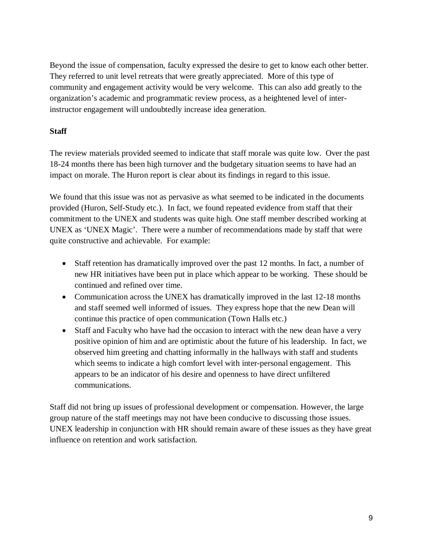Beyond the issue of compensation, faculty expressed the desire to get to know each other better. They referred to unit level retreats that were greatly appreciated. More of this type of community and engagement activity would be very welcome. This can also add greatly to the organization's academic and programmatic review process, as a heightened level of interinstructor engagement will undoubtedly increase idea generation.

# **Staff**

The review materials provided seemed to indicate that staff morale was quite low. Over the past 18-24 months there has been high turnover and the budgetary situation seems to have had an impact on morale. The Huron report is clear about its findings in regard to this issue.

We found that this issue was not as pervasive as what seemed to be indicated in the documents provided (Huron, Self-Study etc.). In fact, we found repeated evidence from staff that their commitment to the UNEX and students was quite high. One staff member described working at UNEX as 'UNEX Magic'. There were a number of recommendations made by staff that were quite constructive and achievable. For example:

- Staff retention has dramatically improved over the past 12 months. In fact, a number of new HR initiatives have been put in place which appear to be working. These should be continued and refined over time.
- Communication across the UNEX has dramatically improved in the last 12-18 months and staff seemed well informed of issues. They express hope that the new Dean will continue this practice of open communication (Town Halls etc.)
- Staff and Faculty who have had the occasion to interact with the new dean have a very positive opinion of him and are optimistic about the future of his leadership. In fact, we observed him greeting and chatting informally in the hallways with staff and students which seems to indicate a high comfort level with inter-personal engagement. This appears to be an indicator of his desire and openness to have direct unfiltered communications.

Staff did not bring up issues of professional development or compensation. However, the large group nature of the staff meetings may not have been conducive to discussing those issues. UNEX leadership in conjunction with HR should remain aware of these issues as they have great influence on retention and work satisfaction.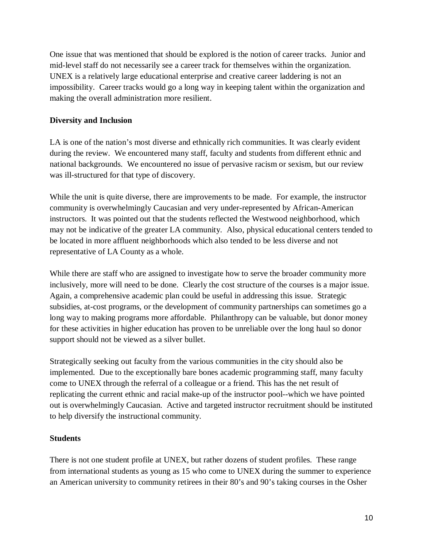One issue that was mentioned that should be explored is the notion of career tracks. Junior and mid-level staff do not necessarily see a career track for themselves within the organization. UNEX is a relatively large educational enterprise and creative career laddering is not an impossibility. Career tracks would go a long way in keeping talent within the organization and making the overall administration more resilient.

## **Diversity and Inclusion**

LA is one of the nation's most diverse and ethnically rich communities. It was clearly evident during the review. We encountered many staff, faculty and students from different ethnic and national backgrounds. We encountered no issue of pervasive racism or sexism, but our review was ill-structured for that type of discovery.

While the unit is quite diverse, there are improvements to be made. For example, the instructor community is overwhelmingly Caucasian and very under-represented by African-American instructors. It was pointed out that the students reflected the Westwood neighborhood, which may not be indicative of the greater LA community. Also, physical educational centers tended to be located in more affluent neighborhoods which also tended to be less diverse and not representative of LA County as a whole.

While there are staff who are assigned to investigate how to serve the broader community more inclusively, more will need to be done. Clearly the cost structure of the courses is a major issue. Again, a comprehensive academic plan could be useful in addressing this issue. Strategic subsidies, at-cost programs, or the development of community partnerships can sometimes go a long way to making programs more affordable. Philanthropy can be valuable, but donor money for these activities in higher education has proven to be unreliable over the long haul so donor support should not be viewed as a silver bullet.

Strategically seeking out faculty from the various communities in the city should also be implemented. Due to the exceptionally bare bones academic programming staff, many faculty come to UNEX through the referral of a colleague or a friend. This has the net result of replicating the current ethnic and racial make-up of the instructor pool--which we have pointed out is overwhelmingly Caucasian. Active and targeted instructor recruitment should be instituted to help diversify the instructional community.

#### **Students**

There is not one student profile at UNEX, but rather dozens of student profiles. These range from international students as young as 15 who come to UNEX during the summer to experience an American university to community retirees in their 80's and 90's taking courses in the Osher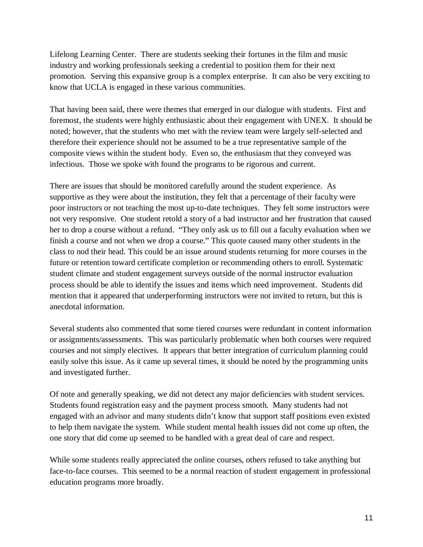Lifelong Learning Center. There are students seeking their fortunes in the film and music industry and working professionals seeking a credential to position them for their next promotion. Serving this expansive group is a complex enterprise. It can also be very exciting to know that UCLA is engaged in these various communities.

That having been said, there were themes that emerged in our dialogue with students. First and foremost, the students were highly enthusiastic about their engagement with UNEX. It should be noted; however, that the students who met with the review team were largely self-selected and therefore their experience should not be assumed to be a true representative sample of the composite views within the student body. Even so, the enthusiasm that they conveyed was infectious. Those we spoke with found the programs to be rigorous and current.

There are issues that should be monitored carefully around the student experience. As supportive as they were about the institution, they felt that a percentage of their faculty were poor instructors or not teaching the most up-to-date techniques. They felt some instructors were not very responsive. One student retold a story of a bad instructor and her frustration that caused her to drop a course without a refund. "They only ask us to fill out a faculty evaluation when we finish a course and not when we drop a course." This quote caused many other students in the class to nod their head. This could be an issue around students returning for more courses in the future or retention toward certificate completion or recommending others to enroll. Systematic student climate and student engagement surveys outside of the normal instructor evaluation process should be able to identify the issues and items which need improvement. Students did mention that it appeared that underperforming instructors were not invited to return, but this is anecdotal information.

Several students also commented that some tiered courses were redundant in content information or assignments/assessments. This was particularly problematic when both courses were required courses and not simply electives. It appears that better integration of curriculum planning could easily solve this issue. As it came up several times, it should be noted by the programming units and investigated further.

Of note and generally speaking, we did not detect any major deficiencies with student services. Students found registration easy and the payment process smooth. Many students had not engaged with an advisor and many students didn't know that support staff positions even existed to help them navigate the system. While student mental health issues did not come up often, the one story that did come up seemed to be handled with a great deal of care and respect.

While some students really appreciated the online courses, others refused to take anything but face-to-face courses. This seemed to be a normal reaction of student engagement in professional education programs more broadly.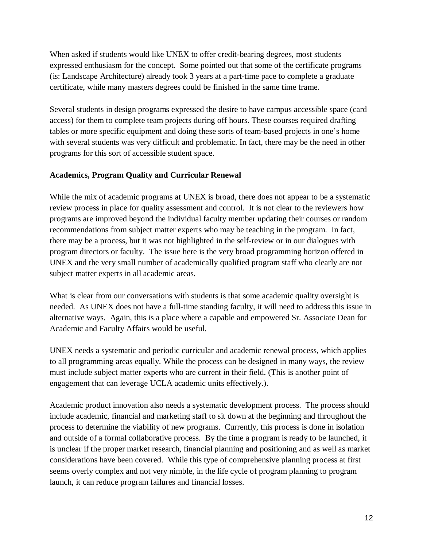When asked if students would like UNEX to offer credit-bearing degrees, most students expressed enthusiasm for the concept. Some pointed out that some of the certificate programs (is: Landscape Architecture) already took 3 years at a part-time pace to complete a graduate certificate, while many masters degrees could be finished in the same time frame.

Several students in design programs expressed the desire to have campus accessible space (card access) for them to complete team projects during off hours. These courses required drafting tables or more specific equipment and doing these sorts of team-based projects in one's home with several students was very difficult and problematic. In fact, there may be the need in other programs for this sort of accessible student space.

# **Academics, Program Quality and Curricular Renewal**

While the mix of academic programs at UNEX is broad, there does not appear to be a systematic review process in place for quality assessment and control. It is not clear to the reviewers how programs are improved beyond the individual faculty member updating their courses or random recommendations from subject matter experts who may be teaching in the program. In fact, there may be a process, but it was not highlighted in the self-review or in our dialogues with program directors or faculty. The issue here is the very broad programming horizon offered in UNEX and the very small number of academically qualified program staff who clearly are not subject matter experts in all academic areas.

What is clear from our conversations with students is that some academic quality oversight is needed. As UNEX does not have a full-time standing faculty, it will need to address this issue in alternative ways. Again, this is a place where a capable and empowered Sr. Associate Dean for Academic and Faculty Affairs would be useful.

UNEX needs a systematic and periodic curricular and academic renewal process, which applies to all programming areas equally. While the process can be designed in many ways, the review must include subject matter experts who are current in their field. (This is another point of engagement that can leverage UCLA academic units effectively.).

Academic product innovation also needs a systematic development process. The process should include academic, financial and marketing staff to sit down at the beginning and throughout the process to determine the viability of new programs. Currently, this process is done in isolation and outside of a formal collaborative process. By the time a program is ready to be launched, it is unclear if the proper market research, financial planning and positioning and as well as market considerations have been covered. While this type of comprehensive planning process at first seems overly complex and not very nimble, in the life cycle of program planning to program launch, it can reduce program failures and financial losses.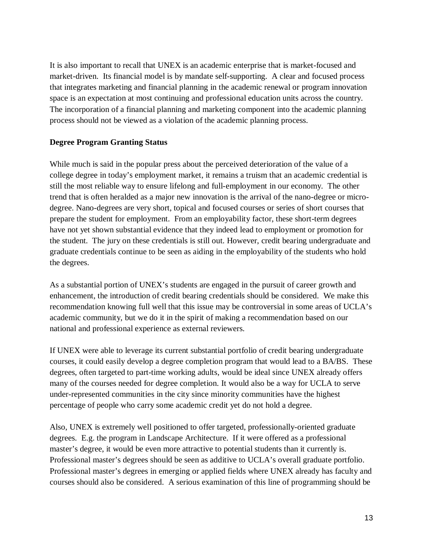It is also important to recall that UNEX is an academic enterprise that is market-focused and market-driven. Its financial model is by mandate self-supporting. A clear and focused process that integrates marketing and financial planning in the academic renewal or program innovation space is an expectation at most continuing and professional education units across the country. The incorporation of a financial planning and marketing component into the academic planning process should not be viewed as a violation of the academic planning process.

## **Degree Program Granting Status**

While much is said in the popular press about the perceived deterioration of the value of a college degree in today's employment market, it remains a truism that an academic credential is still the most reliable way to ensure lifelong and full-employment in our economy. The other trend that is often heralded as a major new innovation is the arrival of the nano-degree or microdegree. Nano-degrees are very short, topical and focused courses or series of short courses that prepare the student for employment. From an employability factor, these short-term degrees have not yet shown substantial evidence that they indeed lead to employment or promotion for the student. The jury on these credentials is still out. However, credit bearing undergraduate and graduate credentials continue to be seen as aiding in the employability of the students who hold the degrees.

As a substantial portion of UNEX's students are engaged in the pursuit of career growth and enhancement, the introduction of credit bearing credentials should be considered. We make this recommendation knowing full well that this issue may be controversial in some areas of UCLA's academic community, but we do it in the spirit of making a recommendation based on our national and professional experience as external reviewers.

If UNEX were able to leverage its current substantial portfolio of credit bearing undergraduate courses, it could easily develop a degree completion program that would lead to a BA/BS. These degrees, often targeted to part-time working adults, would be ideal since UNEX already offers many of the courses needed for degree completion. It would also be a way for UCLA to serve under-represented communities in the city since minority communities have the highest percentage of people who carry some academic credit yet do not hold a degree.

Also, UNEX is extremely well positioned to offer targeted, professionally-oriented graduate degrees. E.g. the program in Landscape Architecture. If it were offered as a professional master's degree, it would be even more attractive to potential students than it currently is. Professional master's degrees should be seen as additive to UCLA's overall graduate portfolio. Professional master's degrees in emerging or applied fields where UNEX already has faculty and courses should also be considered. A serious examination of this line of programming should be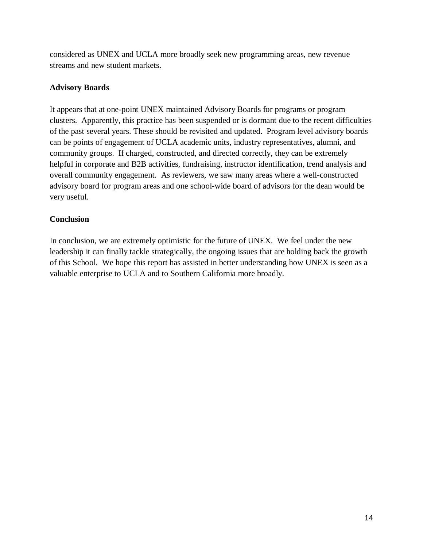considered as UNEX and UCLA more broadly seek new programming areas, new revenue streams and new student markets.

# **Advisory Boards**

It appears that at one-point UNEX maintained Advisory Boards for programs or program clusters. Apparently, this practice has been suspended or is dormant due to the recent difficulties of the past several years. These should be revisited and updated. Program level advisory boards can be points of engagement of UCLA academic units, industry representatives, alumni, and community groups. If charged, constructed, and directed correctly, they can be extremely helpful in corporate and B2B activities, fundraising, instructor identification, trend analysis and overall community engagement. As reviewers, we saw many areas where a well-constructed advisory board for program areas and one school-wide board of advisors for the dean would be very useful.

# **Conclusion**

In conclusion, we are extremely optimistic for the future of UNEX. We feel under the new leadership it can finally tackle strategically, the ongoing issues that are holding back the growth of this School. We hope this report has assisted in better understanding how UNEX is seen as a valuable enterprise to UCLA and to Southern California more broadly.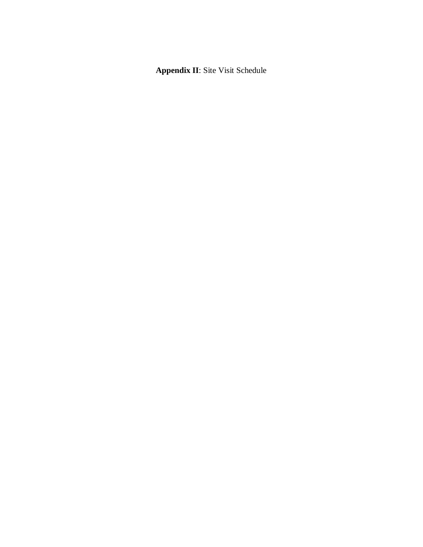**Appendix II**: Site Visit Schedule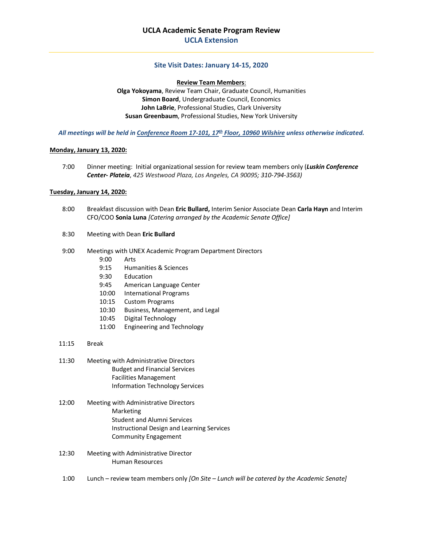#### **Site Visit Dates: January 14-15, 2020**

#### **Review Team Members**:

**Olga Yokoyama**, Review Team Chair, Graduate Council, Humanities **Simon Board**, Undergraduate Council, Economics **John LaBrie**, Professional Studies, Clark University **Susan Greenbaum**, Professional Studies, New York University

*All meetings will be held in Conference Room 17-101, 17th Floor, 10960 Wilshire unless otherwise indicated.*

#### **Monday, January 13, 2020:**

7:00 Dinner meeting: Initial organizational session for review team members only (*Luskin Conference Center- Plateia*, *425 Westwood Plaza, Los Angeles, CA 90095; 310-794-3563)*

#### **Tuesday, January 14, 2020:**

- 8:00 Breakfast discussion with Dean **Eric Bullard,** Interim Senior Associate Dean **Carla Hayn** and Interim CFO/COO **Sonia Luna** *[Catering arranged by the Academic Senate Office]*
- 8:30 Meeting with Dean **Eric Bullard**
- 9:00 Meetings with UNEX Academic Program Department Directors
	- 9:00 Arts
	- 9:15 Humanities & Sciences
	- 9:30 Education
	- 9:45 American Language Center
	- 10:00 International Programs
	- 10:15 Custom Programs
	- 10:30 Business, Management, and Legal
	- 10:45 Digital Technology
	- 11:00 Engineering and Technology
- 11:15 Break
- 11:30 Meeting with Administrative Directors Budget and Financial Services Facilities Management Information Technology Services
- 12:00 Meeting with Administrative Directors Marketing Student and Alumni Services Instructional Design and Learning Services Community Engagement
- 12:30 Meeting with Administrative Director Human Resources
- 1:00 Lunch review team members only *[On Site – Lunch will be catered by the Academic Senate]*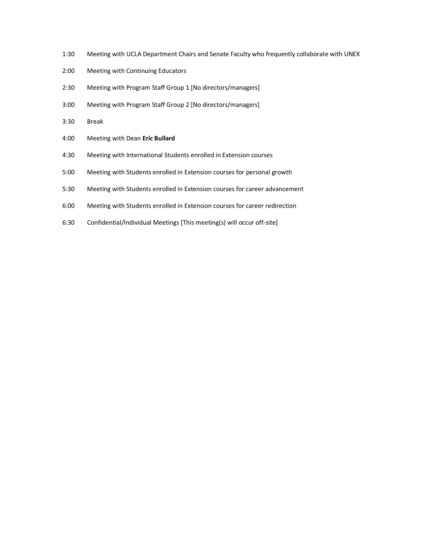- 1:30 Meeting with UCLA Department Chairs and Senate Faculty who frequently collaborate with UNEX
- 2:00 Meeting with Continuing Educators
- 2:30 Meeting with Program Staff Group 1 [No directors/managers]
- 3:00 Meeting with Program Staff Group 2 [No directors/managers]
- 3:30 Break
- 4:00 Meeting with Dean **Eric Bullard**
- 4:30 Meeting with International Students enrolled in Extension courses
- 5:00 Meeting with Students enrolled in Extension courses for personal growth
- 5:30 Meeting with Students enrolled in Extension courses for career advancement
- 6:00 Meeting with Students enrolled in Extension courses for career redirection
- 6:30 Confidential/Individual Meetings [This meeting(s) will occur off-site]